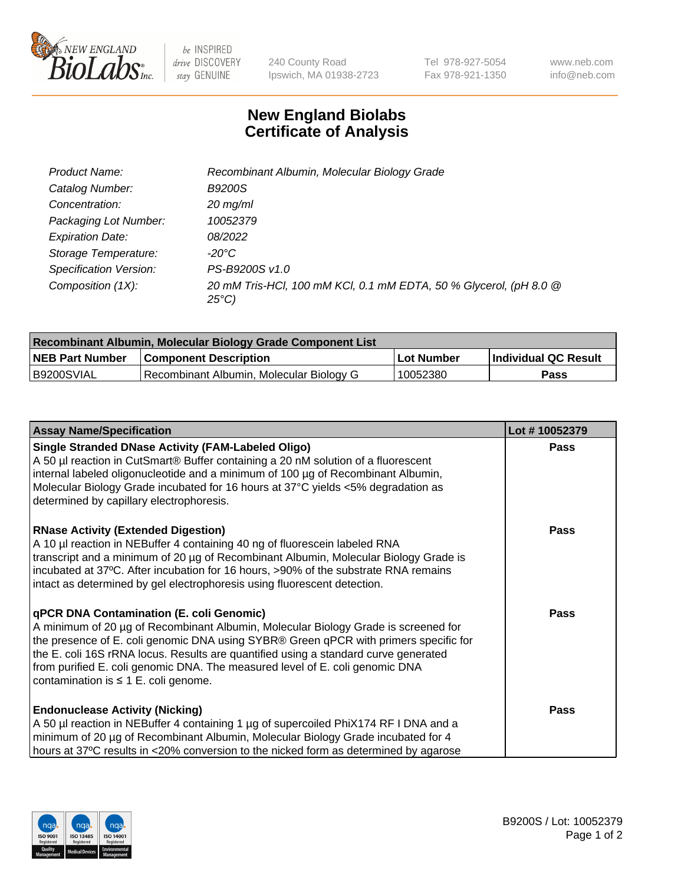

 $be$  INSPIRED drive DISCOVERY stay GENUINE

240 County Road Ipswich, MA 01938-2723 Tel 978-927-5054 Fax 978-921-1350 www.neb.com info@neb.com

## **New England Biolabs Certificate of Analysis**

| Product Name:           | Recombinant Albumin, Molecular Biology Grade                                         |
|-------------------------|--------------------------------------------------------------------------------------|
| Catalog Number:         | <b>B9200S</b>                                                                        |
| Concentration:          | $20$ mg/ml                                                                           |
| Packaging Lot Number:   | 10052379                                                                             |
| <b>Expiration Date:</b> | 08/2022                                                                              |
| Storage Temperature:    | -20°C                                                                                |
| Specification Version:  | PS-B9200S v1.0                                                                       |
| Composition (1X):       | 20 mM Tris-HCl, 100 mM KCl, 0.1 mM EDTA, 50 % Glycerol, (pH 8.0 @<br>$25^{\circ}$ C) |

| Recombinant Albumin, Molecular Biology Grade Component List |                                          |            |                      |  |
|-------------------------------------------------------------|------------------------------------------|------------|----------------------|--|
| <b>NEB Part Number</b>                                      | <b>Component Description</b>             | Lot Number | Individual QC Result |  |
| IB9200SVIAL                                                 | Recombinant Albumin, Molecular Biology G | 10052380   | Pass                 |  |

| <b>Assay Name/Specification</b>                                                                                                                                                                                                                                                                                                                                                                                                                   | Lot #10052379 |
|---------------------------------------------------------------------------------------------------------------------------------------------------------------------------------------------------------------------------------------------------------------------------------------------------------------------------------------------------------------------------------------------------------------------------------------------------|---------------|
| <b>Single Stranded DNase Activity (FAM-Labeled Oligo)</b><br>A 50 µl reaction in CutSmart® Buffer containing a 20 nM solution of a fluorescent<br>internal labeled oligonucleotide and a minimum of 100 µg of Recombinant Albumin,<br>Molecular Biology Grade incubated for 16 hours at 37°C yields <5% degradation as<br>determined by capillary electrophoresis.                                                                                | <b>Pass</b>   |
| <b>RNase Activity (Extended Digestion)</b><br>A 10 µl reaction in NEBuffer 4 containing 40 ng of fluorescein labeled RNA<br>transcript and a minimum of 20 µg of Recombinant Albumin, Molecular Biology Grade is<br>incubated at 37°C. After incubation for 16 hours, >90% of the substrate RNA remains<br>intact as determined by gel electrophoresis using fluorescent detection.                                                               | <b>Pass</b>   |
| <b>qPCR DNA Contamination (E. coli Genomic)</b><br>A minimum of 20 µg of Recombinant Albumin, Molecular Biology Grade is screened for<br>the presence of E. coli genomic DNA using SYBR® Green qPCR with primers specific for<br>the E. coli 16S rRNA locus. Results are quantified using a standard curve generated<br>from purified E. coli genomic DNA. The measured level of E. coli genomic DNA<br>contamination is $\leq 1$ E. coli genome. | Pass          |
| <b>Endonuclease Activity (Nicking)</b><br>A 50 µl reaction in NEBuffer 4 containing 1 µg of supercoiled PhiX174 RF I DNA and a<br>minimum of 20 µg of Recombinant Albumin, Molecular Biology Grade incubated for 4<br>hours at 37°C results in <20% conversion to the nicked form as determined by agarose                                                                                                                                        | Pass          |